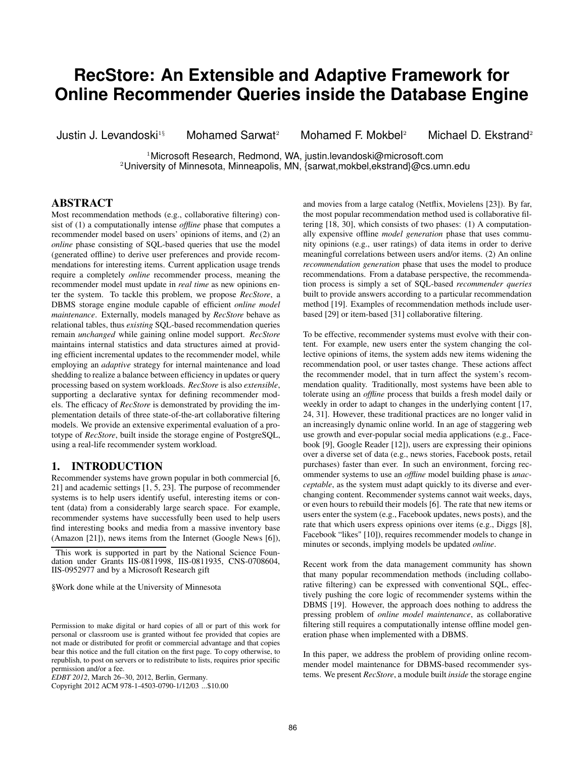# **RecStore: An Extensible and Adaptive Framework for Online Recommender Queries inside the Database Engine**

Justin J. Levandoski<sup>1§</sup> Mohamed Sarwat<sup>2</sup> Mohamed F. Mokbel<sup>2</sup> Michael D. Ekstrand<sup>2</sup>

<sup>1</sup>Microsoft Research, Redmond, WA, justin.levandoski@microsoft.com <sup>2</sup>University of Minnesota, Minneapolis, MN, {sarwat,mokbel,ekstrand}@cs.umn.edu

# **ABSTRACT**

Most recommendation methods (e.g., collaborative filtering) consist of (1) a computationally intense *offline* phase that computes a recommender model based on users' opinions of items, and (2) an *online* phase consisting of SQL-based queries that use the model (generated offline) to derive user preferences and provide recommendations for interesting items. Current application usage trends require a completely *online* recommender process, meaning the recommender model must update in *real time* as new opinions enter the system. To tackle this problem, we propose *RecStore*, a DBMS storage engine module capable of efficient *online model maintenance*. Externally, models managed by *RecStore* behave as relational tables, thus *existing* SQL-based recommendation queries remain *unchanged* while gaining online model support. *RecStore* maintains internal statistics and data structures aimed at providing efficient incremental updates to the recommender model, while employing an *adaptive* strategy for internal maintenance and load shedding to realize a balance between efficiency in updates or query processing based on system workloads. *RecStore* is also *extensible*, supporting a declarative syntax for defining recommender models. The efficacy of *RecStore* is demonstrated by providing the implementation details of three state-of-the-art collaborative filtering models. We provide an extensive experimental evaluation of a prototype of *RecStore*, built inside the storage engine of PostgreSQL, using a real-life recommender system workload.

# **1. INTRODUCTION**

Recommender systems have grown popular in both commercial [6, 21] and academic settings [1, 5, 23]. The purpose of recommender systems is to help users identify useful, interesting items or content (data) from a considerably large search space. For example, recommender systems have successfully been used to help users find interesting books and media from a massive inventory base (Amazon [21]), news items from the Internet (Google News [6]),

This work is supported in part by the National Science Foundation under Grants IIS-0811998, IIS-0811935, CNS-0708604, IIS-0952977 and by a Microsoft Research gift

§Work done while at the University of Minnesota

Copyright 2012 ACM 978-1-4503-0790-1/12/03 ...\$10.00

and movies from a large catalog (Netflix, Movielens [23]). By far, the most popular recommendation method used is collaborative filtering [18, 30], which consists of two phases: (1) A computationally expensive offline *model generation* phase that uses community opinions (e.g., user ratings) of data items in order to derive meaningful correlations between users and/or items. (2) An online *recommendation generation* phase that uses the model to produce recommendations. From a database perspective, the recommendation process is simply a set of SQL-based *recommender queries* built to provide answers according to a particular recommendation method [19]. Examples of recommendation methods include userbased [29] or item-based [31] collaborative filtering.

To be effective, recommender systems must evolve with their content. For example, new users enter the system changing the collective opinions of items, the system adds new items widening the recommendation pool, or user tastes change. These actions affect the recommender model, that in turn affect the system's recommendation quality. Traditionally, most systems have been able to tolerate using an *offline* process that builds a fresh model daily or weekly in order to adapt to changes in the underlying content [17, 24, 31]. However, these traditional practices are no longer valid in an increasingly dynamic online world. In an age of staggering web use growth and ever-popular social media applications (e.g., Facebook [9], Google Reader [12]), users are expressing their opinions over a diverse set of data (e.g., news stories, Facebook posts, retail purchases) faster than ever. In such an environment, forcing recommender systems to use an *offline* model building phase is *unacceptable*, as the system must adapt quickly to its diverse and everchanging content. Recommender systems cannot wait weeks, days, or even hours to rebuild their models [6]. The rate that new items or users enter the system (e.g., Facebook updates, news posts), and the rate that which users express opinions over items (e.g., Diggs [8], Facebook "likes" [10]), requires recommender models to change in minutes or seconds, implying models be updated *online*.

Recent work from the data management community has shown that many popular recommendation methods (including collaborative filtering) can be expressed with conventional SQL, effectively pushing the core logic of recommender systems within the DBMS [19]. However, the approach does nothing to address the pressing problem of *online model maintenance*, as collaborative filtering still requires a computationally intense offline model generation phase when implemented with a DBMS.

In this paper, we address the problem of providing online recommender model maintenance for DBMS-based recommender systems. We present *RecStore*, a module built *inside* the storage engine

Permission to make digital or hard copies of all or part of this work for personal or classroom use is granted without fee provided that copies are not made or distributed for profit or commercial advantage and that copies bear this notice and the full citation on the first page. To copy otherwise, to republish, to post on servers or to redistribute to lists, requires prior specific permission and/or a fee.

*EDBT 2012*, March 26–30, 2012, Berlin, Germany.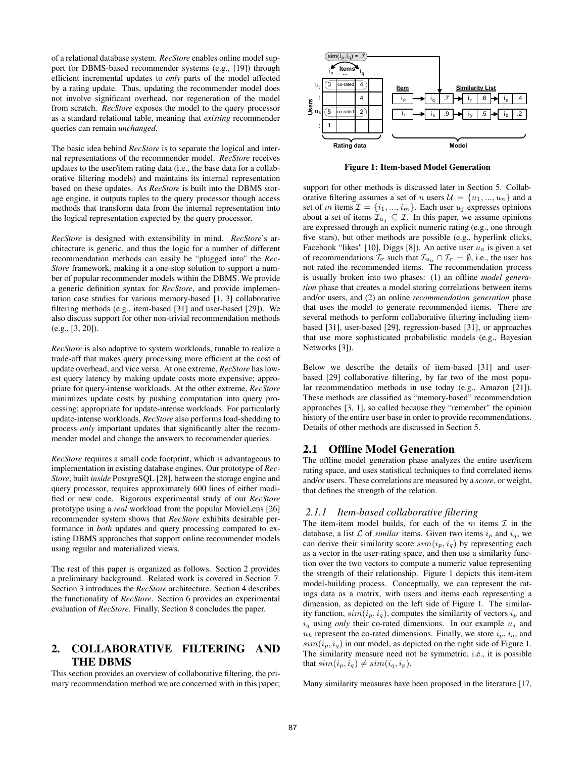of a relational database system. *RecStore* enables online model support for DBMS-based recommender systems (e.g., [19]) through efficient incremental updates to *only* parts of the model affected by a rating update. Thus, updating the recommender model does not involve significant overhead, nor regeneration of the model from scratch. *RecStore* exposes the model to the query processor as a standard relational table, meaning that *existing* recommender queries can remain *unchanged*.

The basic idea behind *RecStore* is to separate the logical and internal representations of the recommender model. *RecStore* receives updates to the user/item rating data (i.e., the base data for a collaborative filtering models) and maintains its internal representation based on these updates. As *RecStore* is built into the DBMS storage engine, it outputs tuples to the query processor though access methods that transform data from the internal representation into the logical representation expected by the query processor.

*RecStore* is designed with extensibility in mind. *RecStore*'s architecture is generic, and thus the logic for a number of different recommendation methods can easily be "plugged into" the *Rec-Store* framework, making it a one-stop solution to support a number of popular recommender models within the DBMS. We provide a generic definition syntax for *RecStore*, and provide implementation case studies for various memory-based [1, 3] collaborative filtering methods (e.g., item-based [31] and user-based [29]). We also discuss support for other non-trivial recommendation methods (e.g., [3, 20]).

*RecStore* is also adaptive to system workloads, tunable to realize a trade-off that makes query processing more efficient at the cost of update overhead, and vice versa. At one extreme, *RecStore* has lowest query latency by making update costs more expensive; appropriate for query-intense workloads. At the other extreme, *RecStore* minimizes update costs by pushing computation into query processing; appropriate for update-intense workloads. For particularly update-intense workloads, *RecStore* also performs load-shedding to process *only* important updates that significantly alter the recommender model and change the answers to recommender queries.

*RecStore* requires a small code footprint, which is advantageous to implementation in existing database engines. Our prototype of *Rec-Store*, built *inside* PostgreSQL [28], between the storage engine and query processor, requires approximately 600 lines of either modified or new code. Rigorous experimental study of our *RecStore* prototype using a *real* workload from the popular MovieLens [26] recommender system shows that *RecStore* exhibits desirable performance in *both* updates and query processing compared to existing DBMS approaches that support online recommender models using regular and materialized views.

The rest of this paper is organized as follows. Section 2 provides a preliminary background. Related work is covered in Section 7. Section 3 introduces the *RecStore* architecture. Section 4 describes the functionality of *RecStore*. Section 6 provides an experimental evaluation of *RecStore*. Finally, Section 8 concludes the paper.

# **2. COLLABORATIVE FILTERING AND THE DBMS**

This section provides an overview of collaborative filtering, the primary recommendation method we are concerned with in this paper;



**Figure 1: Item-based Model Generation**

support for other methods is discussed later in Section 5. Collaborative filtering assumes a set of n users  $\mathcal{U} = \{u_1, ..., u_n\}$  and a set of m items  $\mathcal{I} = \{i_1, ..., i_m\}$ . Each user  $u_j$  expresses opinions about a set of items  $\mathcal{I}_{u_i} \subseteq \mathcal{I}$ . In this paper, we assume opinions are expressed through an explicit numeric rating (e.g., one through five stars), but other methods are possible (e.g., hyperlink clicks, Facebook "likes" [10], Diggs [8]). An active user  $u_a$  is given a set of recommendations  $\mathcal{I}_r$  such that  $\mathcal{I}_{u_a} \cap \mathcal{I}_r = \emptyset$ , i.e., the user has not rated the recommended items. The recommendation process is usually broken into two phases: (1) an offline *model generation* phase that creates a model storing correlations between items and/or users, and (2) an online *recommendation generation* phase that uses the model to generate recommended items. There are several methods to perform collaborative filtering including itembased [31], user-based [29], regression-based [31], or approaches that use more sophisticated probabilistic models (e.g., Bayesian Networks [3]).

Below we describe the details of item-based [31] and userbased [29] collaborative filtering, by far two of the most popular recommendation methods in use today (e.g., Amazon [21]). These methods are classified as "memory-based" recommendation approaches [3, 1], so called because they "remember" the opinion history of the entire user base in order to provide recommendations. Details of other methods are discussed in Section 5.

# **2.1 Offline Model Generation**

The offline model generation phase analyzes the entire user/item rating space, and uses statistical techniques to find correlated items and/or users. These correlations are measured by a *score*, or weight, that defines the strength of the relation.

### *2.1.1 Item-based collaborative filtering*

The item-item model builds, for each of the  $m$  items  $\mathcal I$  in the database, a list L of *similar* items. Given two items  $i_p$  and  $i_q$ , we can derive their similarity score  $sim(i_p, i_q)$  by representing each as a vector in the user-rating space, and then use a similarity function over the two vectors to compute a numeric value representing the strength of their relationship. Figure 1 depicts this item-item model-building process. Conceptually, we can represent the ratings data as a matrix, with users and items each representing a dimension, as depicted on the left side of Figure 1. The similarity function,  $sim(i_p, i_q)$ , computes the similarity of vectors  $i_p$  and  $i_q$  using *only* their co-rated dimensions. In our example  $u_j$  and  $u_k$  represent the co-rated dimensions. Finally, we store  $i_p$ ,  $i_q$ , and  $sim(i_p, i_q)$  in our model, as depicted on the right side of Figure 1. The similarity measure need not be symmetric, i.e., it is possible that  $sim(i_p, i_q) \neq sim(i_q, i_p)$ .

Many similarity measures have been proposed in the literature [17,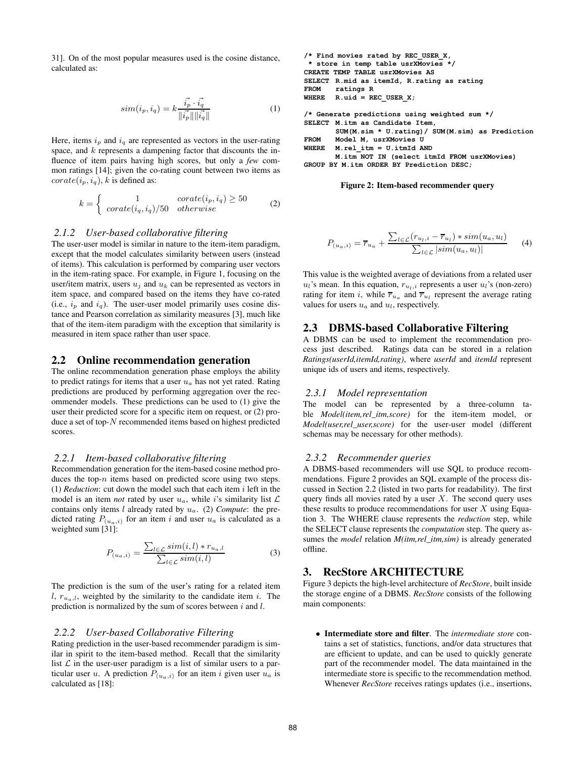31]. On of the most popular measures used is the cosine distance, calculated as:

$$
sim(i_p, i_q) = k \frac{\vec{i_p} \cdot \vec{i_q}}{\|\vec{i_p}\| \|\vec{i_q}\|}
$$
 (1)

Here, items  $i_p$  and  $i_q$  are represented as vectors in the user-rating space, and  $k$  represents a dampening factor that discounts the influence of item pairs having high scores, but only a *few* common ratings [14]; given the co-rating count between two items as  $corate(i_p, i_q)$ , k is defined as:

$$
k = \begin{cases} 1 & \text{corate}(i_p, i_q) \ge 50\\ \text{corate}(i_q, i_q) / 50 & \text{otherwise} \end{cases} \tag{2}
$$

#### *2.1.2 User-based collaborative filtering*

The user-user model is similar in nature to the item-item paradigm, except that the model calculates similarity between users (instead of items). This calculation is performed by comparing user vectors in the item-rating space. For example, in Figure 1, focusing on the user/item matrix, users  $u_j$  and  $u_k$  can be represented as vectors in item space, and compared based on the items they have co-rated (i.e.,  $i_p$  and  $i_q$ ). The user-user model primarily uses cosine distance and Pearson correlation as similarity measures [3], much like that of the item-item paradigm with the exception that similarity is measured in item space rather than user space.

#### **2.2 Online recommendation generation**

The online recommendation generation phase employs the ability to predict ratings for items that a user  $u_a$  has not yet rated. Rating predictions are produced by performing aggregation over the recommender models. These predictions can be used to (1) give the user their predicted score for a specific item on request, or (2) produce a set of top-N recommended items based on highest predicted scores.

#### *2.2.1 Item-based collaborative filtering*

Recommendation generation for the item-based cosine method produces the top- $n$  items based on predicted score using two steps. (1) *Reduction*: cut down the model such that each item i left in the model is an item *not* rated by user  $u_a$ , while i's similarity list  $\mathcal L$ contains only items l already rated by ua. (2) *Compute*: the predicted rating  $P_{(u_a,i)}$  for an item i and user  $u_a$  is calculated as a weighted sum [31]:

$$
P_{(u_a,i)} = \frac{\sum_{l \in \mathcal{L}} sim(i, l) * r_{u_a, l}}{\sum_{l \in \mathcal{L}} sim(i, l)}
$$
(3)

The prediction is the sum of the user's rating for a related item l,  $r_{u_n,l}$ , weighted by the similarity to the candidate item i. The prediction is normalized by the sum of scores between  $i$  and  $l$ .

#### *2.2.2 User-based Collaborative Filtering*

Rating prediction in the user-based recommender paradigm is similar in spirit to the item-based method. Recall that the similarity list  $\mathcal L$  in the user-user paradigm is a list of similar users to a particular user u. A prediction  $P_{(u_a,i)}$  for an item i given user  $u_a$  is calculated as [18]:

```
/* Find movies rated by REC_USER_X,
 * store in temp table usrXMovies */
CREATE TEMP TABLE usrXMovies AS
SELECT R.mid as itemId, R.rating as rating<br>FROM     ratings R
        ratings RWHERE R.uid = REC USER X;
/* Generate predictions using weighted sum */
SELECT M.itm as Candidate Item,
        \texttt{SUM}(M.sim \; * \; U.rating) \, / \; \texttt{SUM}(M.sim) as Prediction
FROM Model M, usrXMovies U
WHERE M.rel\_itm = U.itmId ANDM.itm NOT IN (select itmId FROM usrXMovies)
GROUP BY M.itm ORDER BY Prediction DESC;
```
#### **Figure 2: Item-based recommender query**

$$
P_{(u_a,i)} = \overline{r}_{u_a} + \frac{\sum_{l \in \mathcal{L}} (r_{u_l,i} - \overline{r}_{u_l}) * sim(u_a, u_l)}{\sum_{l \in \mathcal{L}} |sim(u_a, u_l)|} \tag{4}
$$

This value is the weighted average of deviations from a related user  $u_l$ 's mean. In this equation,  $r_{u_l,i}$  represents a user  $u_l$ 's (non-zero) rating for item *i*, while  $\overline{r}_{u_a}$  and  $\overline{r}_{u_l}$  represent the average rating values for users  $u_a$  and  $u_l$ , respectively.

### **2.3 DBMS-based Collaborative Filtering**

A DBMS can be used to implement the recommendation process just described. Ratings data can be stored in a relation *Ratings(userId,itemId,rating)*, where *userId* and *itemId* represent unique ids of users and items, respectively.

### *2.3.1 Model representation*

The model can be represented by a three-column table *Model(item,rel\_itm,score)* for the item-item model, or *Model(user,rel\_user,score)* for the user-user model (different schemas may be necessary for other methods).

#### *2.3.2 Recommender queries*

A DBMS-based recommenders will use SQL to produce recommendations. Figure 2 provides an SQL example of the process discussed in Section 2.2 (listed in two parts for readability). The first query finds all movies rated by a user  $X$ . The second query uses these results to produce recommendations for user  $X$  using Equation 3. The WHERE clause represents the *reduction* step, while the SELECT clause represents the *computation* step. The query assumes the *model* relation *M(itm,rel\_itm,sim)* is already generated offline.

### **3. RecStore ARCHITECTURE**

Figure 3 depicts the high-level architecture of *RecStore*, built inside the storage engine of a DBMS. *RecStore* consists of the following main components:

• **Intermediate store and filter**. The *intermediate store* contains a set of statistics, functions, and/or data structures that are efficient to update, and can be used to quickly generate part of the recommender model. The data maintained in the intermediate store is specific to the recommendation method. Whenever *RecStore* receives ratings updates (i.e., insertions,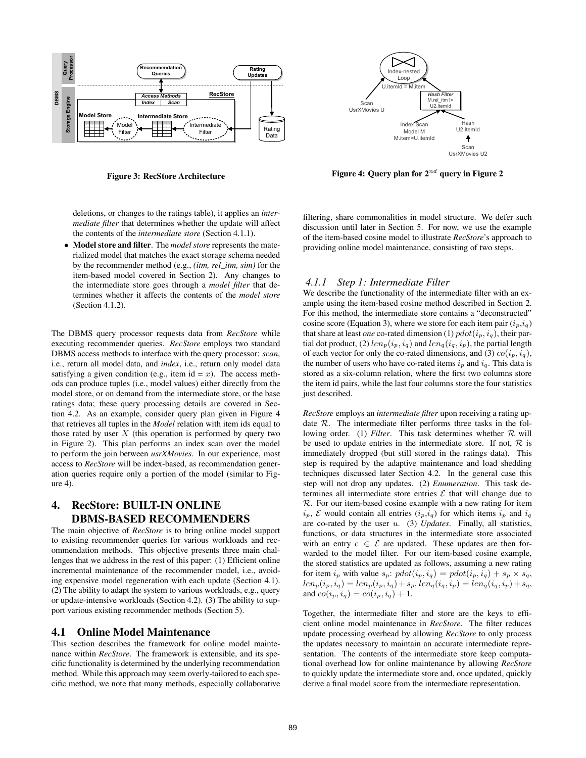

**Figure 3: RecStore Architecture**



• **Model store and filter**. The *model store* represents the materialized model that matches the exact storage schema needed by the recommender method (e.g., *(itm, rel\_itm, sim)* for the item-based model covered in Section 2). Any changes to the intermediate store goes through a *model filter* that determines whether it affects the contents of the *model store* (Section 4.1.2).

The DBMS query processor requests data from *RecStore* while executing recommender queries. *RecStore* employs two standard DBMS access methods to interface with the query processor: *scan*, i.e., return all model data, and *index*, i.e., return only model data satisfying a given condition (e.g., item id =  $x$ ). The access methods can produce tuples (i.e., model values) either directly from the model store, or on demand from the intermediate store, or the base ratings data; these query processing details are covered in Section 4.2. As an example, consider query plan given in Figure 4 that retrieves all tuples in the *Model* relation with item ids equal to those rated by user  $X$  (this operation is performed by query two in Figure 2). This plan performs an index scan over the model to perform the join between *usrXMovies*. In our experience, most access to *RecStore* will be index-based, as recommendation generation queries require only a portion of the model (similar to Figure 4).

# **4. RecStore: BUILT-IN ONLINE DBMS-BASED RECOMMENDERS**

The main objective of *RecStore* is to bring online model support to existing recommender queries for various workloads and recommendation methods. This objective presents three main challenges that we address in the rest of this paper: (1) Efficient online incremental maintenance of the recommender model, i.e., avoiding expensive model regeneration with each update (Section 4.1). (2) The ability to adapt the system to various workloads, e.g., query or update-intensive workloads (Section 4.2). (3) The ability to support various existing recommender methods (Section 5).

### **4.1 Online Model Maintenance**

This section describes the framework for online model maintenance within *RecStore*. The framework is extensible, and its specific functionality is determined by the underlying recommendation method. While this approach may seem overly-tailored to each specific method, we note that many methods, especially collaborative



**Figure 4: Query plan for 2**nd **query in Figure 2**

filtering, share commonalities in model structure. We defer such discussion until later in Section 5. For now, we use the example of the item-based cosine model to illustrate *RecStore*'s approach to providing online model maintenance, consisting of two steps.

#### *4.1.1 Step 1: Intermediate Filter*

We describe the functionality of the intermediate filter with an example using the item-based cosine method described in Section 2. For this method, the intermediate store contains a "deconstructed" cosine score (Equation 3), where we store for each item pair  $(i_p, i_q)$ that share at least *one* co-rated dimension (1)  $pdot(i_p, i_q)$ , their partial dot product, (2)  $len_p(i_p, i_q)$  and  $len_q(i_q, i_p)$ , the partial length of each vector for only the co-rated dimensions, and (3)  $co(i_p, i_q)$ , the number of users who have co-rated items  $i_p$  and  $i_q$ . This data is stored as a six-column relation, where the first two columns store the item id pairs, while the last four columns store the four statistics just described.

*RecStore* employs an *intermediate filter* upon receiving a rating update  $R$ . The intermediate filter performs three tasks in the following order. (1) *Filter*. This task determines whether R will be used to update entries in the intermediate store. If not,  $R$  is immediately dropped (but still stored in the ratings data). This step is required by the adaptive maintenance and load shedding techniques discussed later Section 4.2. In the general case this step will not drop any updates. (2) *Enumeration*. This task determines all intermediate store entries  $\mathcal E$  that will change due to R. For our item-based cosine example with a new rating for item  $i_p$ ,  $\mathcal E$  would contain all entries  $(i_p,i_q)$  for which items  $i_p$  and  $i_q$ are co-rated by the user u. (3) *Updates*. Finally, all statistics, functions, or data structures in the intermediate store associated with an entry  $e \in \mathcal{E}$  are updated. These updates are then forwarded to the model filter. For our item-based cosine example, the stored statistics are updated as follows, assuming a new rating for item  $i_p$  with value  $s_p$ :  $pdot(i_p, i_q) = pdot(i_p, i_q) + s_p \times s_q$ ,  $len_p(i_p, i_q) = len_p(i_p, i_q) + s_p, len_q(i_q, i_p) = len_q(i_q, i_p) + s_q,$ and  $co(i_p, i_q) = co(i_p, i_q) + 1$ .

Together, the intermediate filter and store are the keys to efficient online model maintenance in *RecStore*. The filter reduces update processing overhead by allowing *RecStore* to only process the updates necessary to maintain an accurate intermediate representation. The contents of the intermediate store keep computational overhead low for online maintenance by allowing *RecStore* to quickly update the intermediate store and, once updated, quickly derive a final model score from the intermediate representation.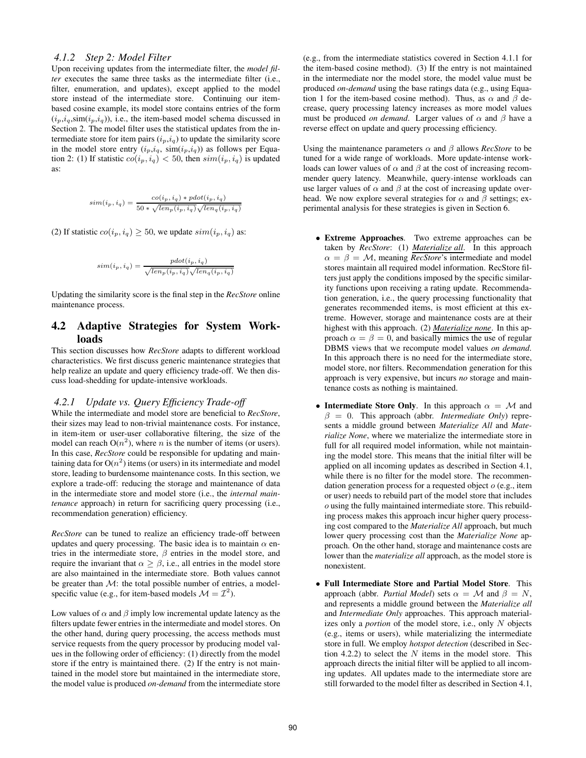### *4.1.2 Step 2: Model Filter*

Upon receiving updates from the intermediate filter, the *model filter* executes the same three tasks as the intermediate filter (i.e., filter, enumeration, and updates), except applied to the model store instead of the intermediate store. Continuing our itembased cosine example, its model store contains entries of the form  $(i_p, i_q, \text{sim}(i_p, i_q))$ , i.e., the item-based model schema discussed in Section 2. The model filter uses the statistical updates from the intermediate store for item pairs  $(i_p,i_q)$  to update the similarity score in the model store entry  $(i_p,i_q, \, \text{sim}(i_p,i_q))$  as follows per Equation 2: (1) If statistic  $co(i_p, i_q) < 50$ , then  $sim(i_p, i_q)$  is updated as:

$$
sim(i_p, i_q) = \frac{co(i_p, i_q) * pdot(i_p, i_q)}{50 * \sqrt{len_p(i_p, i_q)} \sqrt{len_q(i_p, i_q)}}
$$

(2) If statistic  $co(i_p, i_q) \ge 50$ , we update  $sim(i_p, i_q)$  as:

$$
sim(i_p, i_q) = \frac{pdot(i_p, i_q)}{\sqrt{len_p(i_p, i_q)}\sqrt{len_q(i_p, i_q)}}
$$

Updating the similarity score is the final step in the *RecStore* online maintenance process.

# **4.2 Adaptive Strategies for System Workloads**

This section discusses how *RecStore* adapts to different workload characteristics. We first discuss generic maintenance strategies that help realize an update and query efficiency trade-off. We then discuss load-shedding for update-intensive workloads.

#### *4.2.1 Update vs. Query Efficiency Trade-off*

While the intermediate and model store are beneficial to *RecStore*, their sizes may lead to non-trivial maintenance costs. For instance, in item-item or user-user collaborative filtering, the size of the model can reach  $O(n^2)$ , where *n* is the number of items (or users). In this case, *RecStore* could be responsible for updating and maintaining data for  $O(n^2)$  items (or users) in its intermediate and model store, leading to burdensome maintenance costs. In this section, we explore a trade-off: reducing the storage and maintenance of data in the intermediate store and model store (i.e., the *internal maintenance* approach) in return for sacrificing query processing (i.e., recommendation generation) efficiency.

*RecStore* can be tuned to realize an efficiency trade-off between updates and query processing. The basic idea is to maintain  $\alpha$  entries in the intermediate store,  $\beta$  entries in the model store, and require the invariant that  $\alpha \geq \beta$ , i.e., all entries in the model store are also maintained in the intermediate store. Both values cannot be greater than  $M$ : the total possible number of entries, a modelspecific value (e.g., for item-based models  $\mathcal{M} = \mathcal{I}^2$ ).

Low values of  $\alpha$  and  $\beta$  imply low incremental update latency as the filters update fewer entries in the intermediate and model stores. On the other hand, during query processing, the access methods must service requests from the query processor by producing model values in the following order of efficiency: (1) directly from the model store if the entry is maintained there. (2) If the entry is not maintained in the model store but maintained in the intermediate store, the model value is produced *on-demand* from the intermediate store (e.g., from the intermediate statistics covered in Section 4.1.1 for the item-based cosine method). (3) If the entry is not maintained in the intermediate nor the model store, the model value must be produced *on-demand* using the base ratings data (e.g., using Equation 1 for the item-based cosine method). Thus, as  $\alpha$  and  $\beta$  decrease, query processing latency increases as more model values must be produced *on demand*. Larger values of  $\alpha$  and  $\beta$  have a reverse effect on update and query processing efficiency.

Using the maintenance parameters  $\alpha$  and  $\beta$  allows *RecStore* to be tuned for a wide range of workloads. More update-intense workloads can lower values of  $\alpha$  and  $\beta$  at the cost of increasing recommender query latency. Meanwhile, query-intense workloads can use larger values of  $\alpha$  and  $\beta$  at the cost of increasing update overhead. We now explore several strategies for  $\alpha$  and  $\beta$  settings; experimental analysis for these strategies is given in Section 6.

- **Extreme Approaches**. Two extreme approaches can be taken by *RecStore*: (1) *Materialize all*. In this approach  $\alpha = \beta = M$ , meaning *RecStore's* intermediate and model stores maintain all required model information. RecStore filters just apply the conditions imposed by the specific similarity functions upon receiving a rating update. Recommendation generation, i.e., the query processing functionality that generates recommended items, is most efficient at this extreme. However, storage and maintenance costs are at their highest with this approach. (2) *Materialize none*. In this approach  $\alpha = \beta = 0$ , and basically mimics the use of regular DBMS views that we recompute model values *on demand*. In this approach there is no need for the intermediate store, model store, nor filters. Recommendation generation for this approach is very expensive, but incurs *no* storage and maintenance costs as nothing is maintained.
- **Intermediate Store Only**. In this approach  $\alpha = M$  and  $\beta = 0$ . This approach (abbr. *Intermediate Only*) represents a middle ground between *Materialize All* and *Materialize None*, where we materialize the intermediate store in full for all required model information, while not maintaining the model store. This means that the initial filter will be applied on all incoming updates as described in Section 4.1, while there is no filter for the model store. The recommendation generation process for a requested object  $o$  (e.g., item or user) needs to rebuild part of the model store that includes o using the fully maintained intermediate store. This rebuilding process makes this approach incur higher query processing cost compared to the *Materialize All* approach, but much lower query processing cost than the *Materialize None* approach. On the other hand, storage and maintenance costs are lower than the *materialize all* approach, as the model store is nonexistent.
- **Full Intermediate Store and Partial Model Store**. This approach (abbr. *Partial Model*) sets  $\alpha = M$  and  $\beta = N$ , and represents a middle ground between the *Materialize all* and *Intermediate Only* approaches. This approach materializes only a *portion* of the model store, i.e., only N objects (e.g., items or users), while materializing the intermediate store in full. We employ *hotspot detection* (described in Section 4.2.2) to select the  $N$  items in the model store. This approach directs the initial filter will be applied to all incoming updates. All updates made to the intermediate store are still forwarded to the model filter as described in Section 4.1,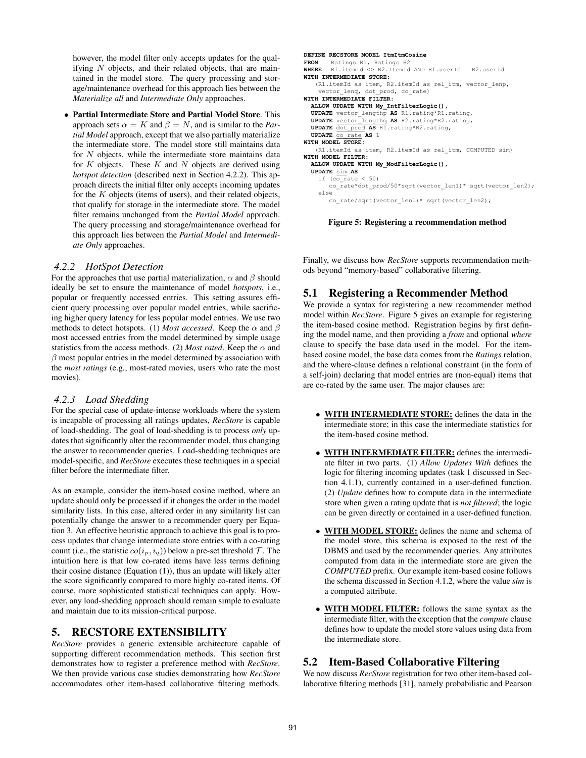however, the model filter only accepts updates for the qualifying N objects, and their related objects, that are maintained in the model store. The query processing and storage/maintenance overhead for this approach lies between the *Materialize all* and *Intermediate Only* approaches.

• **Partial Intermediate Store and Partial Model Store**. This approach sets  $\alpha = K$  and  $\beta = N$ , and is similar to the *Partial Model* approach, except that we also partially materialize the intermediate store. The model store still maintains data for N objects, while the intermediate store maintains data for  $K$  objects. These  $K$  and  $N$  objects are derived using *hotspot detection* (described next in Section 4.2.2). This approach directs the initial filter only accepts incoming updates for the  $K$  objects (items of users), and their related objects, that qualify for storage in the intermediate store. The model filter remains unchanged from the *Partial Model* approach. The query processing and storage/maintenance overhead for this approach lies between the *Partial Model* and *Intermediate Only* approaches.

### *4.2.2 HotSpot Detection*

For the approaches that use partial materialization,  $\alpha$  and  $\beta$  should ideally be set to ensure the maintenance of model *hotspots*, i.e., popular or frequently accessed entries. This setting assures efficient query processing over popular model entries, while sacrificing higher query latency for less popular model entries. We use two methods to detect hotspots. (1) *Most accessed*. Keep the  $\alpha$  and  $\beta$ most accessed entries from the model determined by simple usage statistics from the access methods. (2) *Most rated*. Keep the  $\alpha$  and  $\beta$  most popular entries in the model determined by association with the *most ratings* (e.g., most-rated movies, users who rate the most movies).

### *4.2.3 Load Shedding*

For the special case of update-intense workloads where the system is incapable of processing all ratings updates, *RecStore* is capable of load-shedding. The goal of load-shedding is to process *only* updates that significantly alter the recommender model, thus changing the answer to recommender queries. Load-shedding techniques are model-specific, and *RecStore* executes these techniques in a special filter before the intermediate filter.

As an example, consider the item-based cosine method, where an update should only be processed if it changes the order in the model similarity lists. In this case, altered order in any similarity list can potentially change the answer to a recommender query per Equation 3. An effective heuristic approach to achieve this goal is to process updates that change intermediate store entries with a co-rating count (i.e., the statistic  $co(i_p, i_q)$ ) below a pre-set threshold  $\mathcal{T}$ . The intuition here is that low co-rated items have less terms defining their cosine distance (Equation (1)), thus an update will likely alter the score significantly compared to more highly co-rated items. Of course, more sophisticated statistical techniques can apply. However, any load-shedding approach should remain simple to evaluate and maintain due to its mission-critical purpose.

# **5. RECSTORE EXTENSIBILITY**

*RecStore* provides a generic extensible architecture capable of supporting different recommendation methods. This section first demonstrates how to register a preference method with *RecStore*. We then provide various case studies demonstrating how *RecStore* accommodates other item-based collaborative filtering methods.

```
\blacksquareDEFINE RECSTORE MODEL ItmItmCosine
FROMtings R1, Ratings R2
WHERE R1.itemId <> R2.ItemId AND R1.userId = R2.userId
WITH INTERMEDIATE STORE:
(R1.itemId as item, R2.itemId as rel itm, vector lenp,
vector_lenq, dot_prod, co_rate)
WITH INTERMEDIATE FILTER:
ALLOW UPDATE WITH My_IntFilterLogic(),
UPDATE vector lengthp AS R1.rating*R1.rating,
UPDATE vector lengthq AS R2.rating*R2.rating,
UPDATE dot prod AS R1.rating*R2.rating,
  \texttt{UPDATE} <u>co rate</u> AS 1
WITH MODEL STORE:
(R1.itemId as item, R2.itemId as rel itm, COMPUTED sim)
WITH MODEL FILTER:
ALLOW UPDATE WITH My_ModFilterLogic(),
UPDATE sim AS
if (co_rate < 50)
co_rate*dot_prod/50*sqrt(vector_len1)* sqrt(vector_len2);
   else
co rate/sqrt(vector len1)* sqrt(vector len2);
```
**Figure 5: Registering a recommendation method**

Finally, we discuss how *RecStore* supports recommendation methods beyond "memory-based" collaborative filtering.

# **5.1 Registering a Recommender Method**

We provide a syntax for registering a new recommender method model within *RecStore*. Figure 5 gives an example for registering the item-based cosine method. Registration begins by first defining the model name, and then providing a *from* and optional *where* clause to specify the base data used in the model. For the itembased cosine model, the base data comes from the *Ratings* relation, and the where-clause defines a relational constraint (in the form of a self-join) declaring that model entries are (non-equal) items that are co-rated by the same user. The major clauses are:

- **WITH INTERMEDIATE STORE:** defines the data in the intermediate store; in this case the intermediate statistics for the item-based cosine method.
- **WITH INTERMEDIATE FILTER:** defines the intermediate filter in two parts. (1) *Allow Updates With* defines the logic for filtering incoming updates (task 1 discussed in Section 4.1.1), currently contained in a user-defined function. (2) *Update* defines how to compute data in the intermediate store when given a rating update that is *not filtered*; the logic can be given directly or contained in a user-defined function.
- **WITH MODEL STORE:** defines the name and schema of the model store, this schema is exposed to the rest of the DBMS and used by the recommender queries. Any attributes computed from data in the intermediate store are given the *COMPUTED* prefix. Our example item-based cosine follows the schema discussed in Section 4.1.2, where the value *sim* is a computed attribute.
- **WITH MODEL FILTER:** follows the same syntax as the intermediate filter, with the exception that the *compute* clause defines how to update the model store values using data from the intermediate store.

# **5.2 Item-Based Collaborative Filtering**

We now discuss *RecStore* registration for two other item-based collaborative filtering methods [31], namely probabilistic and Pearson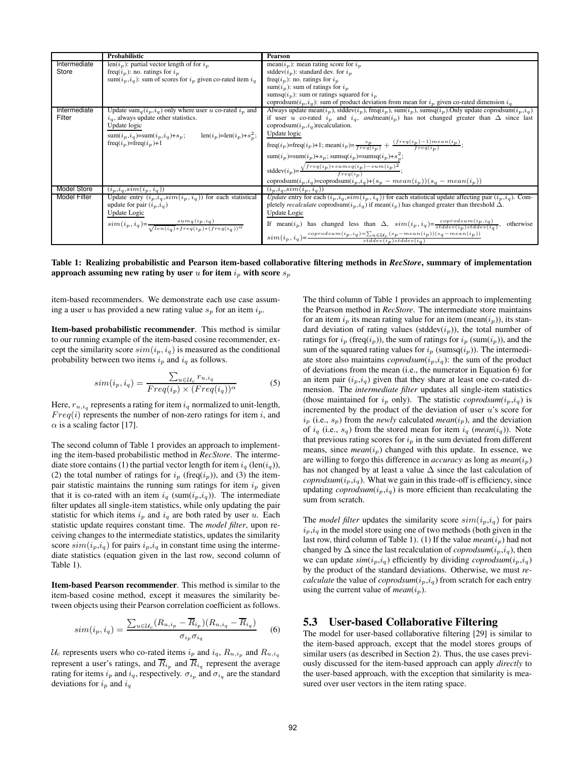|                        | <b>Probabilistic</b>                                                                                                                                                                                                                          | <b>Pearson</b>                                                                                                                                                                                                                                                                                                                                                                                                                                                                                                                                                                                                                                                                                                                                                          |
|------------------------|-----------------------------------------------------------------------------------------------------------------------------------------------------------------------------------------------------------------------------------------------|-------------------------------------------------------------------------------------------------------------------------------------------------------------------------------------------------------------------------------------------------------------------------------------------------------------------------------------------------------------------------------------------------------------------------------------------------------------------------------------------------------------------------------------------------------------------------------------------------------------------------------------------------------------------------------------------------------------------------------------------------------------------------|
| Intermediate<br>Store  | len( $i_n$ ): partial vector length of for $i_n$<br>freq( $i_p$ ): no. ratings for $i_p$<br>sum( $i_p$ , $i_q$ ): sum of scores for $i_p$ given co-rated item $i_q$                                                                           | mean( $i_p$ ): mean rating score for $i_p$<br>stddev $(i_p)$ : standard dev. for $i_p$<br>freq( $i_p$ ): no. ratings for $i_p$<br>sum $(i_p)$ : sum of ratings for $i_p$<br>sumsq( $i_p$ ): sum or ratings squared for $i_p$<br>coprodsum( $i_p, i_q$ ): sum of product deviation from mean for $i_p$ given co-rated dimension $i_q$                                                                                                                                                                                                                                                                                                                                                                                                                                    |
| Intermediate<br>Filter | Update sum <sub>a</sub> $(i_p, i_q)$ only where user u co-rated $i_p$ and<br>$i_a$ , always update other statistics.<br>Update logic<br>$len(i_p)=len(i_p)+s_p^2;$<br>$sum(i_p, i_q) = sum(i_p, i_q) + s_p;$<br>freq $(i_p)$ =freq $(i_p)$ +1 | Always update mean(i <sub>p</sub> ), stddev(i <sub>p</sub> ), freq(i <sub>p</sub> ), sum(i <sub>p</sub> ), sumsq(i <sub>p</sub> ). Only update coprodsum(i <sub>p</sub> ,i <sub>g</sub> )<br>if user u co-rated $i_p$ and $i_q$ , and mean( $i_p$ ) has not changed greater than $\Delta$ since last<br>coprodsum $(i_p, i_q)$ recalculation.<br>Update logic<br>freq(i <sub>p</sub> )=freq(i <sub>p</sub> )+1; mean(i <sub>p</sub> )= $\frac{sp}{freq(i_p)} + \frac{(freq(i_p)-1)mean(i_p)}{freq(i_p)}$ ;<br>sum( $i_p$ )=sum( $i_p$ )+ $s_p$ ; sumsq( $i_p$ )=sumsq( $i_p$ )+ $s_p^2$ ;<br>stddev( $i_p$ )= $\frac{\sqrt{freq(i_p)*sum(q(p)-sum(i_p)^2})}{freq(i_p)}$ ;<br>coprodsum( $i_p, i_q$ )=coprodsum( $i_p, i_q$ )+( $s_p - mean(i_p)$ )( $s_q - mean(i_p)$ ) |
| <b>Model Store</b>     | $(i_p, i_q, sim(i_p, i_q))$                                                                                                                                                                                                                   | $(i_p, i_q, sim(i_p, i_q))$                                                                                                                                                                                                                                                                                                                                                                                                                                                                                                                                                                                                                                                                                                                                             |
| <b>Model Filter</b>    | Update entry $(i_p, i_q, sim(i_p, i_q))$ for each statistical<br>update for pair $(i_n, i_a)$<br>Update Logic<br>$\overline{sim(i_p,i_q)} = \frac{sum_q(i_p,i_q)}{\sqrt{len(i_q)*freq(i_p)*(freq(i_q))^\alpha}}$                              | <i>Update</i> entry for each $(i_p, i_q, sim(i_p, i_q))$ for each statistical update affecting pair $(i_p, i_q)$ . Com-<br>pletely <i>recalculate</i> coprodsum( $i_p$ , $i_q$ ) if mean( $i_p$ ) has changed greater than threshold $\Delta$ .<br>Update Logic<br>If mean(i <sub>p</sub> ) has changed less than $\Delta$ , $sim(i_p, i_q) = \frac{coprod_{submin}(i_p, i_q)}{stddev(i_n)stddev(i_q)}$ ,<br>otherwise<br>$sim(i_p,i_q)\texttt{=} \frac{corrodsum(i_p,i_q)\texttt{=}\sum_{u\in \mathcal{U}_G}(s_p - mean(i_p))(s_q - mean(i_p))}{stddev(i_p)stddev(i_q)}$                                                                                                                                                                                               |

**Table 1: Realizing probabilistic and Pearson item-based collaborative filtering methods in** *RecStore***, summary of implementation approach assuming new rating by user** u for item  $i_p$  with score  $s_p$ 

item-based recommenders. We demonstrate each use case assuming a user u has provided a new rating value  $s_p$  for an item  $i_p$ .

**Item-based probabilistic recommender**. This method is similar to our running example of the item-based cosine recommender, except the similarity score  $\mathit{sim}(i_p, i_q)$  is measured as the conditional probability between two items  $i_p$  and  $i_q$  as follows.

$$
sim(i_p, i_q) = \frac{\sum_{u \in \mathcal{U}_c} r_{u, i_q}}{Freq(i_p) \times (Freq(i_q))^{\alpha}}
$$
(5)

Here,  $r_{u,i_q}$  represents a rating for item  $i_q$  normalized to unit-length,  $Freq(i)$  represents the number of non-zero ratings for item i, and  $\alpha$  is a scaling factor [17].

The second column of Table 1 provides an approach to implementing the item-based probabilistic method in *RecStore*. The intermediate store contains (1) the partial vector length for item  $i_q$  (len( $i_q$ )), (2) the total number of ratings for  $i_p$  (freq( $i_p$ )), and (3) the itempair statistic maintains the running sum ratings for item  $i_p$  given that it is co-rated with an item  $i_q$  (sum $(i_p,i_q)$ ). The intermediate filter updates all single-item statistics, while only updating the pair statistic for which items  $i_p$  and  $i_q$  are both rated by user u. Each statistic update requires constant time. The *model filter*, upon receiving changes to the intermediate statistics, updates the similarity score  $sim(i_p,i_q)$  for pairs  $i_p,i_q$  in constant time using the intermediate statistics (equation given in the last row, second column of Table 1).

**Item-based Pearson recommender**. This method is similar to the item-based cosine method, except it measures the similarity between objects using their Pearson correlation coefficient as follows.

$$
sim(i_p, i_q) = \frac{\sum_{u \in \mathcal{U}_c} (R_{u, i_p} - \overline{R}_{i_p})(R_{u, i_q} - \overline{R}_{i_q})}{\sigma_{i_p} \sigma_{i_q}}
$$
(6)

 $U_c$  represents users who co-rated items  $i_p$  and  $i_q$ ,  $R_{u,i_p}$  and  $R_{u,i_q}$ represent a user's ratings, and  $R_{i_p}$  and  $R_{i_q}$  represent the average rating for items  $i_p$  and  $i_q$ , respectively.  $\sigma_{i_p}$  and  $\sigma_{i_q}$  are the standard deviations for  $i_p$  and  $i_q$ 

The third column of Table 1 provides an approach to implementing the Pearson method in *RecStore*. The intermediate store maintains for an item  $i_p$  its mean rating value for an item (mean $(i_p)$ ), its standard deviation of rating values (stddev( $i_p$ )), the total number of ratings for  $i_p$  (freq( $i_p$ )), the sum of ratings for  $i_p$  (sum( $i_p$ )), and the sum of the squared rating values for  $i_p$  (sumsq $(i_p)$ ). The intermediate store also maintains  $\mathit{corrodsum}(i_p,i_q)$ : the sum of the product of deviations from the mean (i.e., the numerator in Equation 6) for an item pair  $(i_p,i_q)$  given that they share at least one co-rated dimension. The *intermediate filter* updates all single-item statistics (those maintained for  $i_p$  only). The statistic *coprodsum*( $i_p$ , $i_q$ ) is incremented by the product of the deviation of user  $u$ 's score for  $i_p$  (i.e.,  $s_p$ ) from the *newly* calculated *mean*( $i_p$ ), and the deviation of  $i_q$  (i.e.,  $s_q$ ) from the stored mean for item  $i_q$  (*mean*( $i_q$ )). Note that previous rating scores for  $i_p$  in the sum deviated from different means, since  $mean(i_p)$  changed with this update. In essence, we are willing to forgo this difference in *accuracy* as long as  $mean(i_p)$ has not changed by at least a value ∆ since the last calculation of  $\alpha$ *coprodsum* $(i_p, i_q)$ . What we gain in this trade-off is efficiency, since updating  $\mathit{corrodsum}(i_p,i_q)$  is more efficient than recalculating the sum from scratch.

The *model filter* updates the similarity score  $sim(i_p,i_q)$  for pairs  $i_p, i_q$  in the model store using one of two methods (both given in the last row, third column of Table 1). (1) If the value  $mean(i_p)$  had not changed by  $\Delta$  since the last recalculation of *coprodsum*( $i_p, i_q$ ), then we can update  $\text{sim}(i_p, i_q)$  efficiently by dividing *coprodsum* $(i_p, i_q)$ by the product of the standard deviations. Otherwise, we must *recalculate* the value of *coprodsum* $(i_p, i_q)$  from scratch for each entry using the current value of  $mean(i_p)$ .

### **5.3 User-based Collaborative Filtering**

The model for user-based collaborative filtering [29] is similar to the item-based approach, except that the model stores groups of similar users (as described in Section 2). Thus, the use cases previously discussed for the item-based approach can apply *directly* to the user-based approach, with the exception that similarity is measured over user vectors in the item rating space.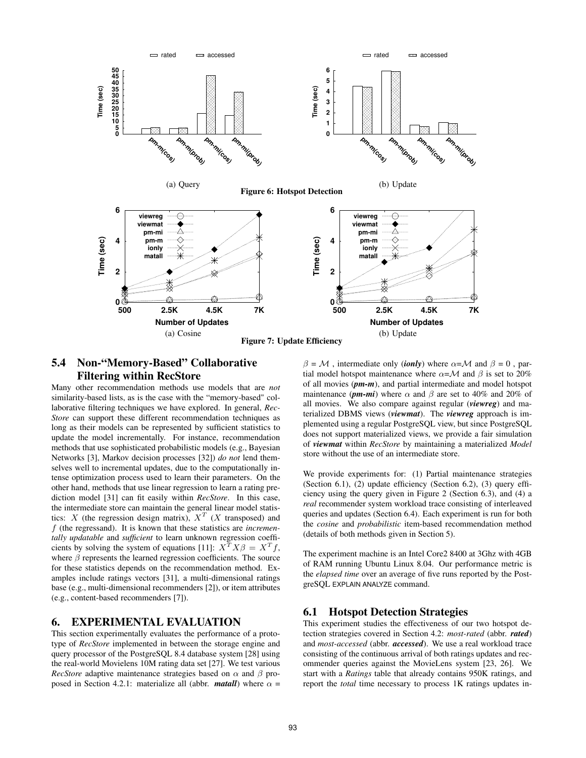

# **5.4 Non-"Memory-Based" Collaborative Filtering within RecStore**

Many other recommendation methods use models that are *not* similarity-based lists, as is the case with the "memory-based" collaborative filtering techniques we have explored. In general, *Rec-Store* can support these different recommendation techniques as long as their models can be represented by sufficient statistics to update the model incrementally. For instance, recommendation methods that use sophisticated probabilistic models (e.g., Bayesian Networks [3], Markov decision processes [32]) *do not* lend themselves well to incremental updates, due to the computationally intense optimization process used to learn their parameters. On the other hand, methods that use linear regression to learn a rating prediction model [31] can fit easily within *RecStore*. In this case, the intermediate store can maintain the general linear model statistics: X (the regression design matrix),  $X<sup>T</sup>$  (X transposed) and f (the regressand). It is known that these statistics are *incrementally updatable* and *sufficient* to learn unknown regression coefficients by solving the system of equations [11]:  $X^T X \beta = X^T f$ , where  $\beta$  represents the learned regression coefficients. The source for these statistics depends on the recommendation method. Examples include ratings vectors [31], a multi-dimensional ratings base (e.g., multi-dimensional recommenders [2]), or item attributes (e.g., content-based recommenders [7]).

# **6. EXPERIMENTAL EVALUATION**

This section experimentally evaluates the performance of a prototype of *RecStore* implemented in between the storage engine and query processor of the PostgreSQL 8.4 database system [28] using the real-world Movielens 10M rating data set [27]. We test various *RecStore* adaptive maintenance strategies based on  $\alpha$  and  $\beta$  proposed in Section 4.2.1: materialize all (abbr. *matall*) where  $\alpha$  =

 $\beta = M$ , intermediate only (*ionly*) where  $\alpha = M$  and  $\beta = 0$ , partial model hotspot maintenance where  $\alpha = \mathcal{M}$  and  $\beta$  is set to 20% of all movies (*pm-m*), and partial intermediate and model hotspot maintenance ( $pm\text{-}mi$ ) where  $\alpha$  and  $\beta$  are set to 40% and 20% of all movies. We also compare against regular (*viewreg*) and materialized DBMS views (*viewmat*). The *viewreg* approach is implemented using a regular PostgreSQL view, but since PostgreSQL does not support materialized views, we provide a fair simulation of *viewmat* within *RecStore* by maintaining a materialized *Model* store without the use of an intermediate store.

We provide experiments for: (1) Partial maintenance strategies (Section 6.1), (2) update efficiency (Section 6.2), (3) query efficiency using the query given in Figure 2 (Section 6.3), and (4) a *real* recommender system workload trace consisting of interleaved queries and updates (Section 6.4). Each experiment is run for both the *cosine* and *probabilistic* item-based recommendation method (details of both methods given in Section 5).

The experiment machine is an Intel Core2 8400 at 3Ghz with 4GB of RAM running Ubuntu Linux 8.04. Our performance metric is the *elapsed time* over an average of five runs reported by the PostgreSQL EXPLAIN ANALYZE command.

# **6.1 Hotspot Detection Strategies**

This experiment studies the effectiveness of our two hotspot detection strategies covered in Section 4.2: *most-rated* (abbr. *rated*) and *most-accessed* (abbr. *accessed*). We use a real workload trace consisting of the continuous arrival of both ratings updates and recommender queries against the MovieLens system [23, 26]. We start with a *Ratings* table that already contains 950K ratings, and report the *total* time necessary to process 1K ratings updates in-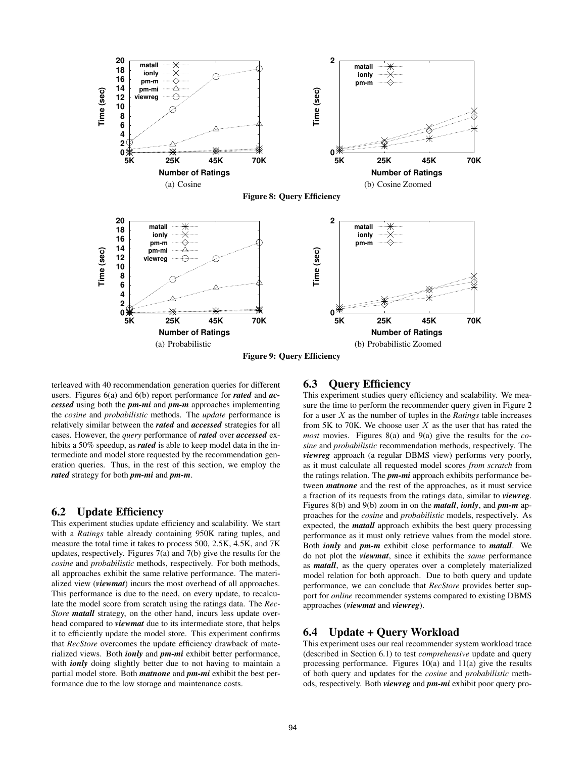

**Figure 9: Query Efficiency**

terleaved with 40 recommendation generation queries for different users. Figures 6(a) and 6(b) report performance for *rated* and *accessed* using both the *pm-mi* and *pm-m* approaches implementing the *cosine* and *probabilistic* methods. The *update* performance is relatively similar between the *rated* and *accessed* strategies for all cases. However, the *query* performance of *rated* over *accessed* exhibits a 50% speedup, as *rated* is able to keep model data in the intermediate and model store requested by the recommendation generation queries. Thus, in the rest of this section, we employ the *rated* strategy for both *pm-mi* and *pm-m*.

### **6.2 Update Efficiency**

This experiment studies update efficiency and scalability. We start with a *Ratings* table already containing 950K rating tuples, and measure the total time it takes to process 500, 2.5K, 4.5K, and 7K updates, respectively. Figures 7(a) and 7(b) give the results for the *cosine* and *probabilistic* methods, respectively. For both methods, all approaches exhibit the same relative performance. The materialized view (*viewmat*) incurs the most overhead of all approaches. This performance is due to the need, on every update, to recalculate the model score from scratch using the ratings data. The *Rec-Store matall* strategy, on the other hand, incurs less update overhead compared to *viewmat* due to its intermediate store, that helps it to efficiently update the model store. This experiment confirms that *RecStore* overcomes the update efficiency drawback of materialized views. Both *ionly* and *pm-mi* exhibit better performance, with *ionly* doing slightly better due to not having to maintain a partial model store. Both *matnone* and *pm-mi* exhibit the best performance due to the low storage and maintenance costs.

# **6.3 Query Efficiency**

This experiment studies query efficiency and scalability. We measure the time to perform the recommender query given in Figure 2 for a user X as the number of tuples in the *Ratings* table increases from 5K to 70K. We choose user  $X$  as the user that has rated the *most* movies. Figures 8(a) and 9(a) give the results for the *cosine* and *probabilistic* recommendation methods, respectively. The *viewreg* approach (a regular DBMS view) performs very poorly, as it must calculate all requested model scores *from scratch* from the ratings relation. The *pm-mi* approach exhibits performance between *matnone* and the rest of the approaches, as it must service a fraction of its requests from the ratings data, similar to *viewreg*. Figures 8(b) and 9(b) zoom in on the *matall*, *ionly*, and *pm-m* approaches for the *cosine* and *probabilistic* models, respectively. As expected, the *matall* approach exhibits the best query processing performance as it must only retrieve values from the model store. Both *ionly* and *pm-m* exhibit close performance to *matall*. We do not plot the *viewmat*, since it exhibits the *same* performance as *matall*, as the query operates over a completely materialized model relation for both approach. Due to both query and update performance, we can conclude that *RecStore* provides better support for *online* recommender systems compared to existing DBMS approaches (*viewmat* and *viewreg*).

# **6.4 Update + Query Workload**

This experiment uses our real recommender system workload trace (described in Section 6.1) to test *comprehensive* update and query processing performance. Figures 10(a) and 11(a) give the results of both query and updates for the *cosine* and *probabilistic* methods, respectively. Both *viewreg* and *pm-mi* exhibit poor query pro-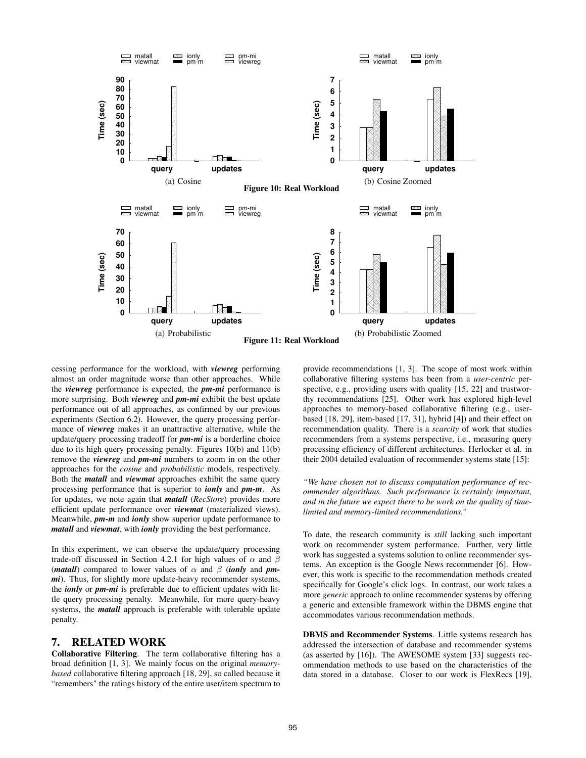

cessing performance for the workload, with *viewreg* performing almost an order magnitude worse than other approaches. While the *viewreg* performance is expected, the *pm-mi* performance is more surprising. Both *viewreg* and *pm-mi* exhibit the best update performance out of all approaches, as confirmed by our previous experiments (Section 6.2). However, the query processing performance of *viewreg* makes it an unattractive alternative, while the update/query processing tradeoff for *pm-mi* is a borderline choice due to its high query processing penalty. Figures 10(b) and 11(b) remove the *viewreg* and *pm-mi* numbers to zoom in on the other approaches for the *cosine* and *probabilistic* models, respectively. Both the *matall* and *viewmat* approaches exhibit the same query processing performance that is superior to *ionly* and *pm-m*. As for updates, we note again that *matall* (*RecStore*) provides more efficient update performance over *viewmat* (materialized views). Meanwhile, *pm-m* and *ionly* show superior update performance to *matall* and *viewmat*, with *ionly* providing the best performance.

In this experiment, we can observe the update/query processing trade-off discussed in Section 4.2.1 for high values of  $\alpha$  and  $\beta$ (*matall*) compared to lower values of  $\alpha$  and  $\beta$  (*ionly* and *pmmi*). Thus, for slightly more update-heavy recommender systems, the *ionly* or *pm-mi* is preferable due to efficient updates with little query processing penalty. Meanwhile, for more query-heavy systems, the *matall* approach is preferable with tolerable update penalty.

# **7. RELATED WORK**

**Collaborative Filtering**. The term collaborative filtering has a broad definition [1, 3]. We mainly focus on the original *memorybased* collaborative filtering approach [18, 29], so called because it "remembers" the ratings history of the entire user/item spectrum to

provide recommendations [1, 3]. The scope of most work within collaborative filtering systems has been from a *user-centric* perspective, e.g., providing users with quality [15, 22] and trustworthy recommendations [25]. Other work has explored high-level approaches to memory-based collaborative filtering (e.g., userbased [18, 29], item-based [17, 31], hybrid [4]) and their effect on recommendation quality. There is a *scarcity* of work that studies recommenders from a systems perspective, i.e., measuring query processing efficiency of different architectures. Herlocker et al. in their 2004 detailed evaluation of recommender systems state [15]:

*"We have chosen not to discuss computation performance of recommender algorithms. Such performance is certainly important, and in the future we expect there to be work on the quality of timelimited and memory-limited recommendations."*

To date, the research community is *still* lacking such important work on recommender system performance. Further, very little work has suggested a systems solution to online recommender systems. An exception is the Google News recommender [6]. However, this work is specific to the recommendation methods created specifically for Google's click logs. In contrast, our work takes a more *generic* approach to online recommender systems by offering a generic and extensible framework within the DBMS engine that accommodates various recommendation methods.

**DBMS and Recommender Systems**. Little systems research has addressed the intersection of database and recommender systems (as asserted by [16]). The AWESOME system [33] suggests recommendation methods to use based on the characteristics of the data stored in a database. Closer to our work is FlexRecs [19],